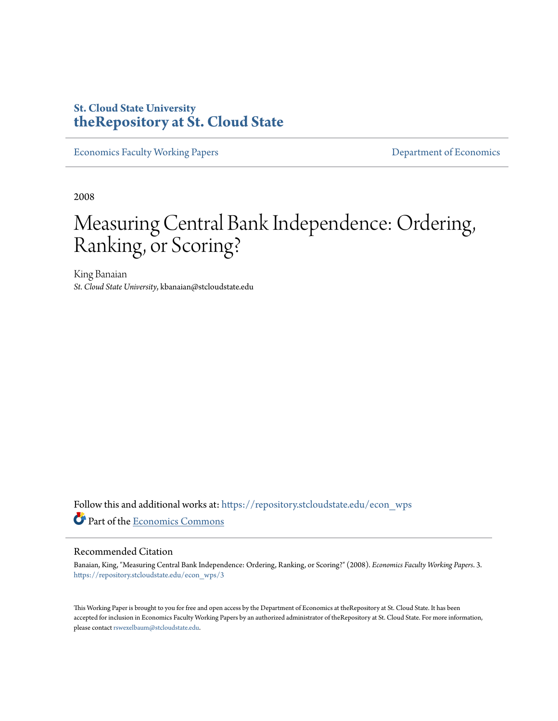## **St. Cloud State University [theRepository at St. Cloud State](https://repository.stcloudstate.edu?utm_source=repository.stcloudstate.edu%2Fecon_wps%2F3&utm_medium=PDF&utm_campaign=PDFCoverPages)**

[Economics Faculty Working Papers](https://repository.stcloudstate.edu/econ_wps?utm_source=repository.stcloudstate.edu%2Fecon_wps%2F3&utm_medium=PDF&utm_campaign=PDFCoverPages) **Exercise 2018** [Department of Economics](https://repository.stcloudstate.edu/econ?utm_source=repository.stcloudstate.edu%2Fecon_wps%2F3&utm_medium=PDF&utm_campaign=PDFCoverPages)

2008

# Measuring Central Bank Independence: Ordering, Ranking, or Scoring?

King Banaian *St. Cloud State University*, kbanaian@stcloudstate.edu

Follow this and additional works at: [https://repository.stcloudstate.edu/econ\\_wps](https://repository.stcloudstate.edu/econ_wps?utm_source=repository.stcloudstate.edu%2Fecon_wps%2F3&utm_medium=PDF&utm_campaign=PDFCoverPages) Part of the [Economics Commons](http://network.bepress.com/hgg/discipline/340?utm_source=repository.stcloudstate.edu%2Fecon_wps%2F3&utm_medium=PDF&utm_campaign=PDFCoverPages)

#### Recommended Citation

Banaian, King, "Measuring Central Bank Independence: Ordering, Ranking, or Scoring?" (2008). *Economics Faculty Working Papers*. 3. [https://repository.stcloudstate.edu/econ\\_wps/3](https://repository.stcloudstate.edu/econ_wps/3?utm_source=repository.stcloudstate.edu%2Fecon_wps%2F3&utm_medium=PDF&utm_campaign=PDFCoverPages)

This Working Paper is brought to you for free and open access by the Department of Economics at theRepository at St. Cloud State. It has been accepted for inclusion in Economics Faculty Working Papers by an authorized administrator of theRepository at St. Cloud State. For more information, please contact [rswexelbaum@stcloudstate.edu.](mailto:rswexelbaum@stcloudstate.edu)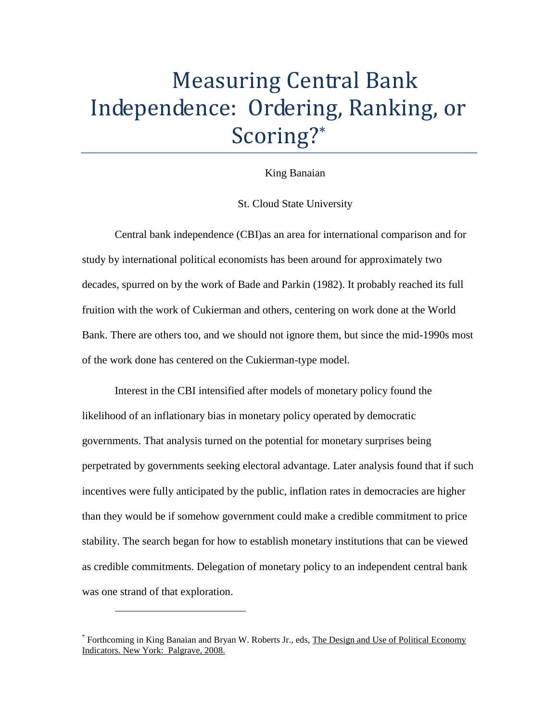# Measuring Central Bank Independence: Ordering, Ranking, or Scoring?\*

King Banaian

St. Cloud State University

Central bank independence (CBI)as an area for international comparison and for study by international political economists has been around for approximately two decades, spurred on by the work of Bade and Parkin (1982). It probably reached its full fruition with the work of Cukierman and others, centering on work done at the World Bank. There are others too, and we should not ignore them, but since the mid-1990s most of the work done has centered on the Cukierman-type model.

Interest in the CBI intensified after models of monetary policy found the likelihood of an inflationary bias in monetary policy operated by democratic governments. That analysis turned on the potential for monetary surprises being perpetrated by governments seeking electoral advantage. Later analysis found that if such incentives were fully anticipated by the public, inflation rates in democracies are higher than they would be if somehow government could make a credible commitment to price stability. The search began for how to establish monetary institutions that can be viewed as credible commitments. Delegation of monetary policy to an independent central bank was one strand of that exploration.

 $\overline{a}$ 

<sup>\*</sup> Forthcoming in King Banaian and Bryan W. Roberts Jr., eds, The Design and Use of Political Economy Indicators. New York: Palgrave, 2008.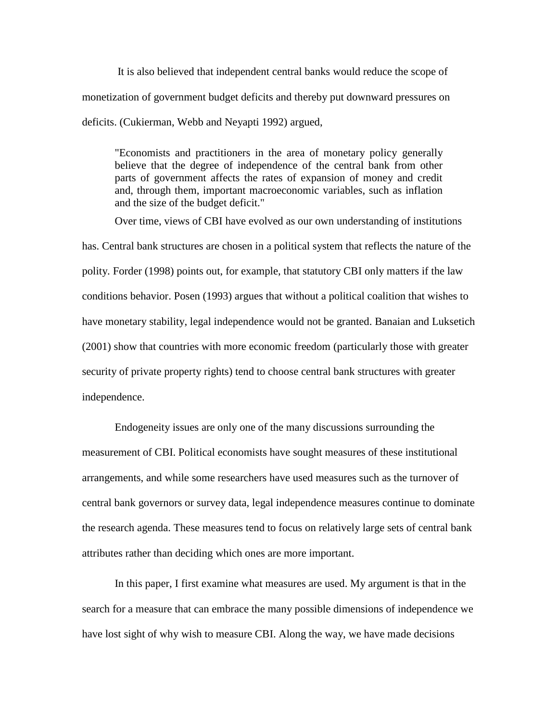It is also believed that independent central banks would reduce the scope of monetization of government budget deficits and thereby put downward pressures on deficits. (Cukierman, Webb and Neyapti 1992) argued,

"Economists and practitioners in the area of monetary policy generally believe that the degree of independence of the central bank from other parts of government affects the rates of expansion of money and credit and, through them, important macroeconomic variables, such as inflation and the size of the budget deficit."

Over time, views of CBI have evolved as our own understanding of institutions has. Central bank structures are chosen in a political system that reflects the nature of the polity. Forder (1998) points out, for example, that statutory CBI only matters if the law conditions behavior. Posen (1993) argues that without a political coalition that wishes to have monetary stability, legal independence would not be granted. Banaian and Luksetich (2001) show that countries with more economic freedom (particularly those with greater security of private property rights) tend to choose central bank structures with greater independence.

Endogeneity issues are only one of the many discussions surrounding the measurement of CBI. Political economists have sought measures of these institutional arrangements, and while some researchers have used measures such as the turnover of central bank governors or survey data, legal independence measures continue to dominate the research agenda. These measures tend to focus on relatively large sets of central bank attributes rather than deciding which ones are more important.

In this paper, I first examine what measures are used. My argument is that in the search for a measure that can embrace the many possible dimensions of independence we have lost sight of why wish to measure CBI. Along the way, we have made decisions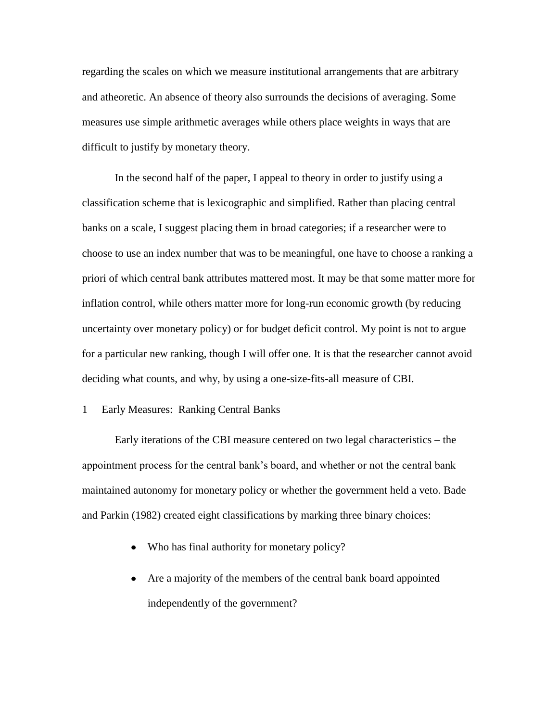regarding the scales on which we measure institutional arrangements that are arbitrary and atheoretic. An absence of theory also surrounds the decisions of averaging. Some measures use simple arithmetic averages while others place weights in ways that are difficult to justify by monetary theory.

In the second half of the paper, I appeal to theory in order to justify using a classification scheme that is lexicographic and simplified. Rather than placing central banks on a scale, I suggest placing them in broad categories; if a researcher were to choose to use an index number that was to be meaningful, one have to choose a ranking a priori of which central bank attributes mattered most. It may be that some matter more for inflation control, while others matter more for long-run economic growth (by reducing uncertainty over monetary policy) or for budget deficit control. My point is not to argue for a particular new ranking, though I will offer one. It is that the researcher cannot avoid deciding what counts, and why, by using a one-size-fits-all measure of CBI.

#### 1 Early Measures: Ranking Central Banks

Early iterations of the CBI measure centered on two legal characteristics – the appointment process for the central bank's board, and whether or not the central bank maintained autonomy for monetary policy or whether the government held a veto. Bade and Parkin (1982) created eight classifications by marking three binary choices:

- Who has final authority for monetary policy?
- Are a majority of the members of the central bank board appointed independently of the government?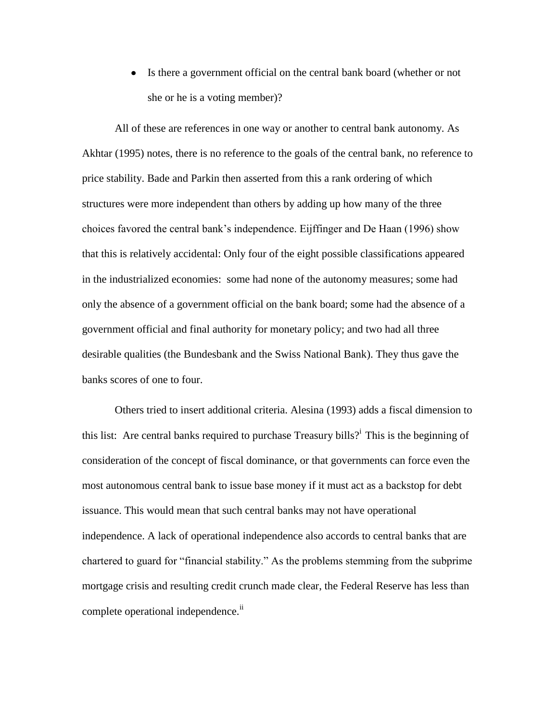• Is there a government official on the central bank board (whether or not she or he is a voting member)?

All of these are references in one way or another to central bank autonomy. As Akhtar (1995) notes, there is no reference to the goals of the central bank, no reference to price stability. Bade and Parkin then asserted from this a rank ordering of which structures were more independent than others by adding up how many of the three choices favored the central bank's independence. Eijffinger and De Haan (1996) show that this is relatively accidental: Only four of the eight possible classifications appeared in the industrialized economies: some had none of the autonomy measures; some had only the absence of a government official on the bank board; some had the absence of a government official and final authority for monetary policy; and two had all three desirable qualities (the Bundesbank and the Swiss National Bank). They thus gave the banks scores of one to four.

Others tried to insert additional criteria. Alesina (1993) adds a fiscal dimension to this list: Are central banks required to purchase Treasury bills?<sup>i</sup> This is the beginning of consideration of the concept of fiscal dominance, or that governments can force even the most autonomous central bank to issue base money if it must act as a backstop for debt issuance. This would mean that such central banks may not have operational independence. A lack of operational independence also accords to central banks that are chartered to guard for "financial stability." As the problems stemming from the subprime mortgage crisis and resulting credit crunch made clear, the Federal Reserve has less than complete operational independence.<sup>ii</sup>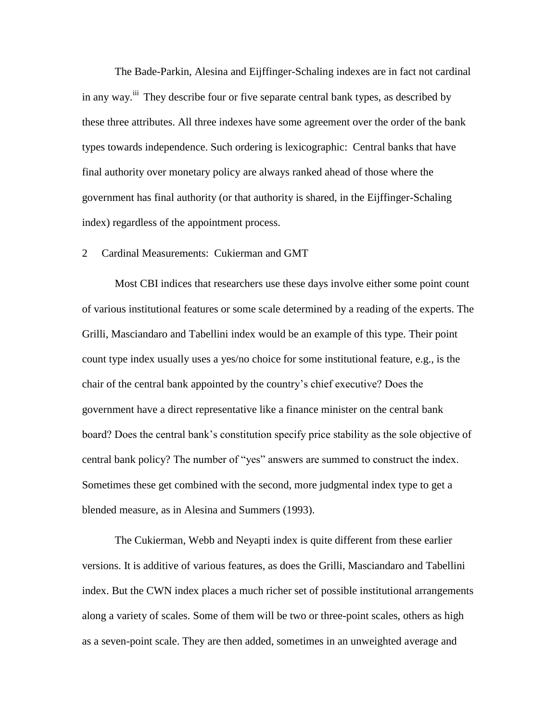The Bade-Parkin, Alesina and Eijffinger-Schaling indexes are in fact not cardinal in any way.<sup>iii</sup> They describe four or five separate central bank types, as described by these three attributes. All three indexes have some agreement over the order of the bank types towards independence. Such ordering is lexicographic: Central banks that have final authority over monetary policy are always ranked ahead of those where the government has final authority (or that authority is shared, in the Eijffinger-Schaling index) regardless of the appointment process.

#### 2 Cardinal Measurements: Cukierman and GMT

Most CBI indices that researchers use these days involve either some point count of various institutional features or some scale determined by a reading of the experts. The Grilli, Masciandaro and Tabellini index would be an example of this type. Their point count type index usually uses a yes/no choice for some institutional feature, e.g., is the chair of the central bank appointed by the country's chief executive? Does the government have a direct representative like a finance minister on the central bank board? Does the central bank's constitution specify price stability as the sole objective of central bank policy? The number of "yes" answers are summed to construct the index. Sometimes these get combined with the second, more judgmental index type to get a blended measure, as in Alesina and Summers (1993).

The Cukierman, Webb and Neyapti index is quite different from these earlier versions. It is additive of various features, as does the Grilli, Masciandaro and Tabellini index. But the CWN index places a much richer set of possible institutional arrangements along a variety of scales. Some of them will be two or three-point scales, others as high as a seven-point scale. They are then added, sometimes in an unweighted average and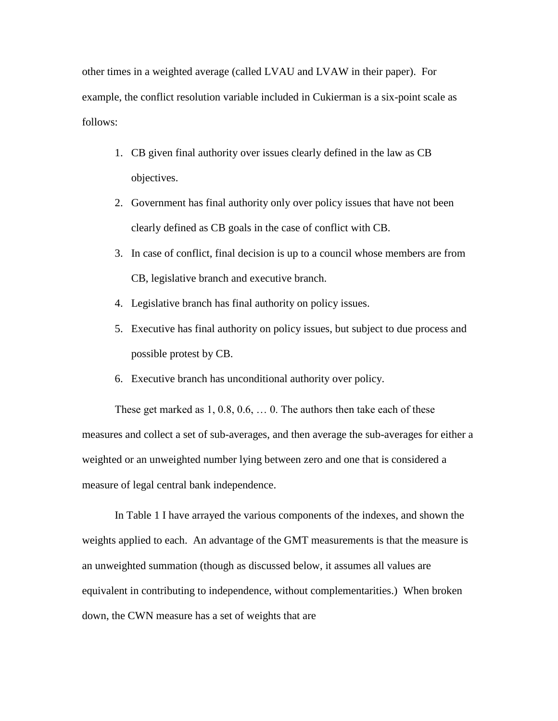other times in a weighted average (called LVAU and LVAW in their paper). For example, the conflict resolution variable included in Cukierman is a six-point scale as follows:

- 1. CB given final authority over issues clearly defined in the law as CB objectives.
- 2. Government has final authority only over policy issues that have not been clearly defined as CB goals in the case of conflict with CB.
- 3. In case of conflict, final decision is up to a council whose members are from CB, legislative branch and executive branch.
- 4. Legislative branch has final authority on policy issues.
- 5. Executive has final authority on policy issues, but subject to due process and possible protest by CB.
- 6. Executive branch has unconditional authority over policy.

These get marked as 1, 0.8, 0.6, … 0. The authors then take each of these measures and collect a set of sub-averages, and then average the sub-averages for either a weighted or an unweighted number lying between zero and one that is considered a measure of legal central bank independence.

In Table 1 I have arrayed the various components of the indexes, and shown the weights applied to each. An advantage of the GMT measurements is that the measure is an unweighted summation (though as discussed below, it assumes all values are equivalent in contributing to independence, without complementarities.) When broken down, the CWN measure has a set of weights that are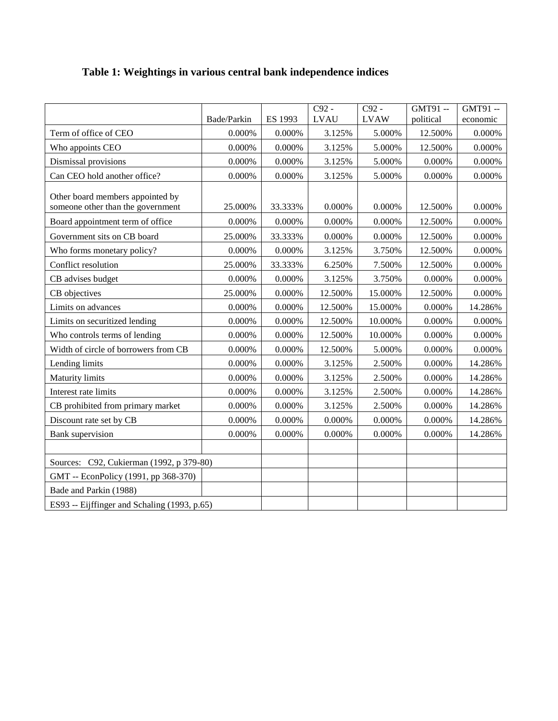# **Table 1: Weightings in various central bank independence indices**

|                                                                       |             |           | $C92 -$     | $C92 -$     | GMT91-    | GMT91-    |
|-----------------------------------------------------------------------|-------------|-----------|-------------|-------------|-----------|-----------|
|                                                                       | Bade/Parkin | ES 1993   | <b>LVAU</b> | <b>LVAW</b> | political | economic  |
| Term of office of CEO                                                 | 0.000%      | 0.000%    | 3.125%      | 5.000%      | 12.500%   | $0.000\%$ |
| Who appoints CEO                                                      | 0.000%      | 0.000%    | 3.125%      | 5.000%      | 12.500%   | 0.000%    |
| Dismissal provisions                                                  | 0.000%      | 0.000%    | 3.125%      | 5.000%      | 0.000%    | $0.000\%$ |
| Can CEO hold another office?                                          | 0.000%      | $0.000\%$ | 3.125%      | 5.000%      | $0.000\%$ | 0.000%    |
| Other board members appointed by<br>someone other than the government | 25.000%     | 33.333%   | 0.000%      | 0.000%      | 12.500%   | 0.000%    |
| Board appointment term of office                                      | 0.000%      | $0.000\%$ | $0.000\%$   | $0.000\%$   | 12.500%   | 0.000%    |
| Government sits on CB board                                           | 25.000%     | 33.333%   | 0.000%      | 0.000%      | 12.500%   | 0.000%    |
| Who forms monetary policy?                                            | 0.000%      | 0.000%    | 3.125%      | 3.750%      | 12.500%   | 0.000%    |
| Conflict resolution                                                   | 25.000%     | 33.333%   | 6.250%      | 7.500%      | 12.500%   | $0.000\%$ |
| CB advises budget                                                     | 0.000%      | 0.000%    | 3.125%      | 3.750%      | 0.000%    | 0.000%    |
| CB objectives                                                         | 25.000%     | 0.000%    | 12.500%     | 15.000%     | 12.500%   | 0.000%    |
| Limits on advances                                                    | 0.000%      | 0.000%    | 12.500%     | 15.000%     | 0.000%    | 14.286%   |
| Limits on securitized lending                                         | 0.000%      | $0.000\%$ | 12.500%     | 10.000%     | 0.000%    | 0.000%    |
| Who controls terms of lending                                         | 0.000%      | 0.000%    | 12.500%     | 10.000%     | 0.000%    | $0.000\%$ |
| Width of circle of borrowers from CB                                  | 0.000%      | $0.000\%$ | 12.500%     | 5.000%      | $0.000\%$ | 0.000%    |
| Lending limits                                                        | 0.000%      | 0.000%    | 3.125%      | 2.500%      | 0.000%    | 14.286%   |
| Maturity limits                                                       | 0.000%      | 0.000%    | 3.125%      | 2.500%      | 0.000%    | 14.286%   |
| Interest rate limits                                                  | 0.000%      | 0.000%    | 3.125%      | 2.500%      | 0.000%    | 14.286%   |
| CB prohibited from primary market                                     | 0.000%      | $0.000\%$ | 3.125%      | 2.500%      | $0.000\%$ | 14.286%   |
| Discount rate set by CB                                               | 0.000%      | 0.000%    | 0.000%      | 0.000%      | 0.000%    | 14.286%   |
| <b>Bank</b> supervision                                               | 0.000%      | $0.000\%$ | $0.000\%$   | 0.000%      | 0.000%    | 14.286%   |
|                                                                       |             |           |             |             |           |           |
| Sources: C92, Cukierman (1992, p 379-80)                              |             |           |             |             |           |           |
| GMT -- EconPolicy (1991, pp 368-370)                                  |             |           |             |             |           |           |
| Bade and Parkin (1988)                                                |             |           |             |             |           |           |
| ES93 -- Eijffinger and Schaling (1993, p.65)                          |             |           |             |             |           |           |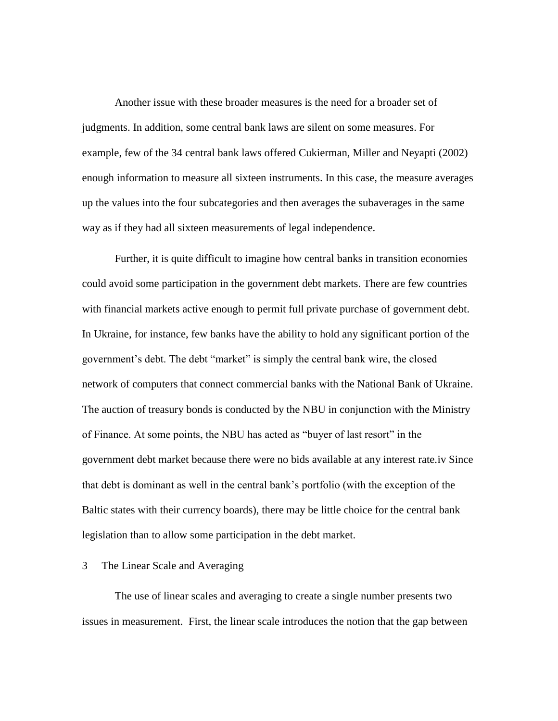Another issue with these broader measures is the need for a broader set of judgments. In addition, some central bank laws are silent on some measures. For example, few of the 34 central bank laws offered Cukierman, Miller and Neyapti (2002) enough information to measure all sixteen instruments. In this case, the measure averages up the values into the four subcategories and then averages the subaverages in the same way as if they had all sixteen measurements of legal independence.

Further, it is quite difficult to imagine how central banks in transition economies could avoid some participation in the government debt markets. There are few countries with financial markets active enough to permit full private purchase of government debt. In Ukraine, for instance, few banks have the ability to hold any significant portion of the government's debt. The debt "market" is simply the central bank wire, the closed network of computers that connect commercial banks with the National Bank of Ukraine. The auction of treasury bonds is conducted by the NBU in conjunction with the Ministry of Finance. At some points, the NBU has acted as "buyer of last resort" in the government debt market because there were no bids available at any interest rate.iv Since that debt is dominant as well in the central bank's portfolio (with the exception of the Baltic states with their currency boards), there may be little choice for the central bank legislation than to allow some participation in the debt market.

#### 3 The Linear Scale and Averaging

The use of linear scales and averaging to create a single number presents two issues in measurement. First, the linear scale introduces the notion that the gap between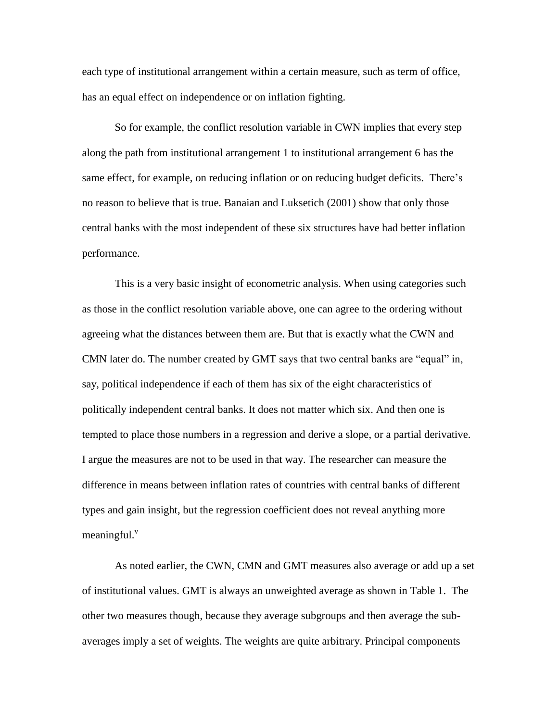each type of institutional arrangement within a certain measure, such as term of office, has an equal effect on independence or on inflation fighting.

So for example, the conflict resolution variable in CWN implies that every step along the path from institutional arrangement 1 to institutional arrangement 6 has the same effect, for example, on reducing inflation or on reducing budget deficits. There's no reason to believe that is true. Banaian and Luksetich (2001) show that only those central banks with the most independent of these six structures have had better inflation performance.

This is a very basic insight of econometric analysis. When using categories such as those in the conflict resolution variable above, one can agree to the ordering without agreeing what the distances between them are. But that is exactly what the CWN and CMN later do. The number created by GMT says that two central banks are "equal" in, say, political independence if each of them has six of the eight characteristics of politically independent central banks. It does not matter which six. And then one is tempted to place those numbers in a regression and derive a slope, or a partial derivative. I argue the measures are not to be used in that way. The researcher can measure the difference in means between inflation rates of countries with central banks of different types and gain insight, but the regression coefficient does not reveal anything more meaningful. $v$ 

As noted earlier, the CWN, CMN and GMT measures also average or add up a set of institutional values. GMT is always an unweighted average as shown in Table 1. The other two measures though, because they average subgroups and then average the subaverages imply a set of weights. The weights are quite arbitrary. Principal components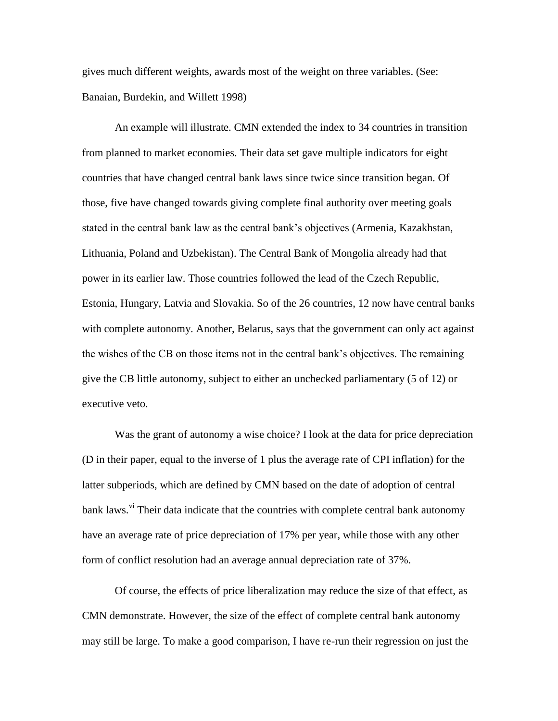gives much different weights, awards most of the weight on three variables. (See: Banaian, Burdekin, and Willett 1998)

An example will illustrate. CMN extended the index to 34 countries in transition from planned to market economies. Their data set gave multiple indicators for eight countries that have changed central bank laws since twice since transition began. Of those, five have changed towards giving complete final authority over meeting goals stated in the central bank law as the central bank's objectives (Armenia, Kazakhstan, Lithuania, Poland and Uzbekistan). The Central Bank of Mongolia already had that power in its earlier law. Those countries followed the lead of the Czech Republic, Estonia, Hungary, Latvia and Slovakia. So of the 26 countries, 12 now have central banks with complete autonomy. Another, Belarus, says that the government can only act against the wishes of the CB on those items not in the central bank's objectives. The remaining give the CB little autonomy, subject to either an unchecked parliamentary (5 of 12) or executive veto.

Was the grant of autonomy a wise choice? I look at the data for price depreciation (D in their paper, equal to the inverse of 1 plus the average rate of CPI inflation) for the latter subperiods, which are defined by CMN based on the date of adoption of central bank laws.<sup>vi</sup> Their data indicate that the countries with complete central bank autonomy have an average rate of price depreciation of 17% per year, while those with any other form of conflict resolution had an average annual depreciation rate of 37%.

Of course, the effects of price liberalization may reduce the size of that effect, as CMN demonstrate. However, the size of the effect of complete central bank autonomy may still be large. To make a good comparison, I have re-run their regression on just the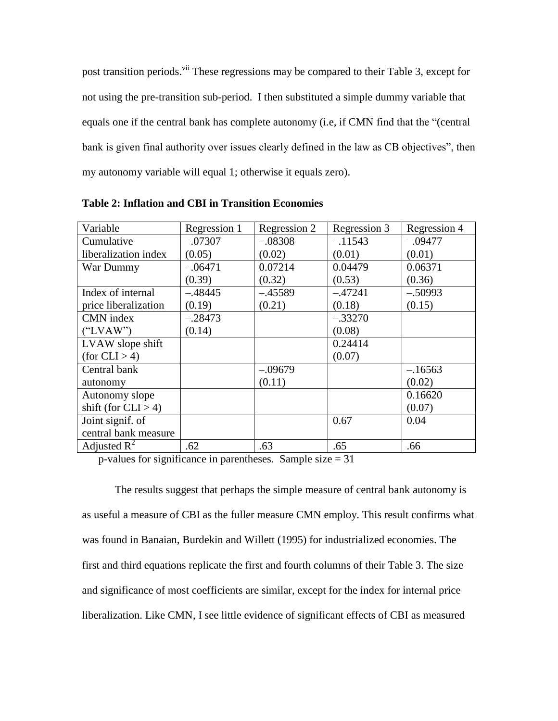post transition periods.<sup>vii</sup> These regressions may be compared to their Table 3, except for not using the pre-transition sub-period. I then substituted a simple dummy variable that equals one if the central bank has complete autonomy (i.e, if CMN find that the "(central bank is given final authority over issues clearly defined in the law as CB objectives", then my autonomy variable will equal 1; otherwise it equals zero).

| Variable               | Regression 1 | Regression 2 | Regression 3 | Regression 4 |
|------------------------|--------------|--------------|--------------|--------------|
| Cumulative             | $-.07307$    | $-.08308$    | $-.11543$    | $-.09477$    |
| liberalization index   | (0.05)       | (0.02)       | (0.01)       | (0.01)       |
| War Dummy              | $-.06471$    | 0.07214      | 0.04479      | 0.06371      |
|                        | (0.39)       | (0.32)       | (0.53)       | (0.36)       |
| Index of internal      | $-.48445$    | $-.45589$    | $-.47241$    | $-.50993$    |
| price liberalization   | (0.19)       | (0.21)       | (0.18)       | (0.15)       |
| <b>CMN</b> index       | $-.28473$    |              | $-.33270$    |              |
| ("LVAW")               | (0.14)       |              | (0.08)       |              |
| LVAW slope shift       |              |              | 0.24414      |              |
| (for CLI > 4)          |              |              | (0.07)       |              |
| Central bank           |              | $-.09679$    |              | $-.16563$    |
| autonomy               |              | (0.11)       |              | (0.02)       |
| Autonomy slope         |              |              |              | 0.16620      |
| shift (for $CLI > 4$ ) |              |              |              | (0.07)       |
| Joint signif. of       |              |              | 0.67         | 0.04         |
| central bank measure   |              |              |              |              |
| Adjusted $R^2$         | .62          | .63          | .65          | .66          |

**Table 2: Inflation and CBI in Transition Economies**

p-values for significance in parentheses. Sample size  $= 31$ 

The results suggest that perhaps the simple measure of central bank autonomy is as useful a measure of CBI as the fuller measure CMN employ. This result confirms what was found in Banaian, Burdekin and Willett (1995) for industrialized economies. The first and third equations replicate the first and fourth columns of their Table 3. The size and significance of most coefficients are similar, except for the index for internal price liberalization. Like CMN, I see little evidence of significant effects of CBI as measured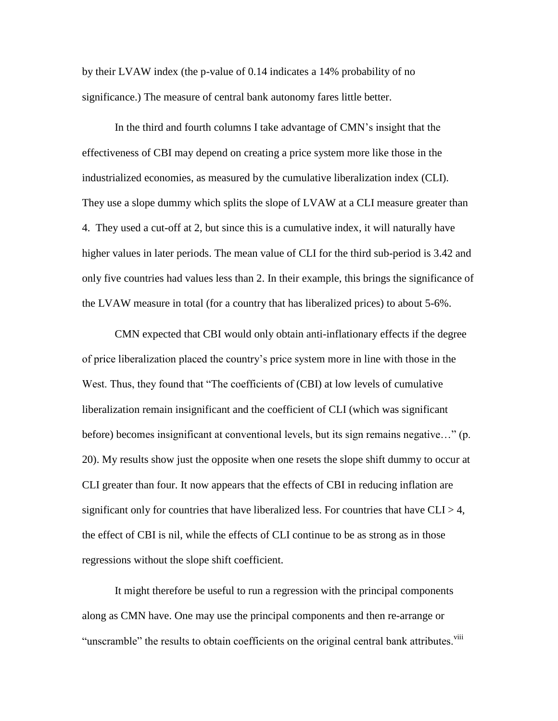by their LVAW index (the p-value of 0.14 indicates a 14% probability of no significance.) The measure of central bank autonomy fares little better.

In the third and fourth columns I take advantage of CMN's insight that the effectiveness of CBI may depend on creating a price system more like those in the industrialized economies, as measured by the cumulative liberalization index (CLI). They use a slope dummy which splits the slope of LVAW at a CLI measure greater than 4. They used a cut-off at 2, but since this is a cumulative index, it will naturally have higher values in later periods. The mean value of CLI for the third sub-period is 3.42 and only five countries had values less than 2. In their example, this brings the significance of the LVAW measure in total (for a country that has liberalized prices) to about 5-6%.

CMN expected that CBI would only obtain anti-inflationary effects if the degree of price liberalization placed the country's price system more in line with those in the West. Thus, they found that "The coefficients of (CBI) at low levels of cumulative liberalization remain insignificant and the coefficient of CLI (which was significant before) becomes insignificant at conventional levels, but its sign remains negative…" (p. 20). My results show just the opposite when one resets the slope shift dummy to occur at CLI greater than four. It now appears that the effects of CBI in reducing inflation are significant only for countries that have liberalized less. For countries that have  $CLI > 4$ , the effect of CBI is nil, while the effects of CLI continue to be as strong as in those regressions without the slope shift coefficient.

It might therefore be useful to run a regression with the principal components along as CMN have. One may use the principal components and then re-arrange or "unscramble" the results to obtain coefficients on the original central bank attributes.<sup>Viii</sup>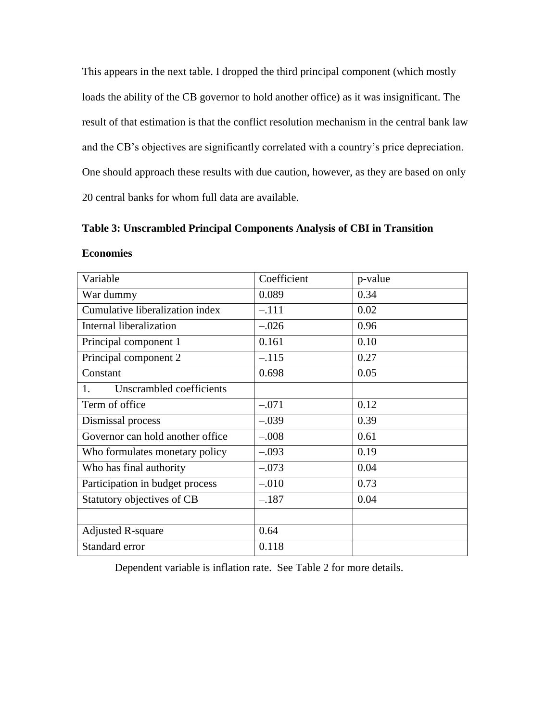This appears in the next table. I dropped the third principal component (which mostly loads the ability of the CB governor to hold another office) as it was insignificant. The result of that estimation is that the conflict resolution mechanism in the central bank law and the CB's objectives are significantly correlated with a country's price depreciation. One should approach these results with due caution, however, as they are based on only 20 central banks for whom full data are available.

#### **Table 3: Unscrambled Principal Components Analysis of CBI in Transition**

#### **Economies**

| Variable                                   | Coefficient | p-value |
|--------------------------------------------|-------------|---------|
| War dummy                                  | 0.089       | 0.34    |
| Cumulative liberalization index            | $-.111$     | 0.02    |
| Internal liberalization                    | $-.026$     | 0.96    |
| Principal component 1                      | 0.161       | 0.10    |
| Principal component 2                      | $-.115$     | 0.27    |
| Constant                                   | 0.698       | 0.05    |
| Unscrambled coefficients<br>$\mathbf{1}$ . |             |         |
| Term of office                             | $-.071$     | 0.12    |
| Dismissal process                          | $-.039$     | 0.39    |
| Governor can hold another office           | $-.008$     | 0.61    |
| Who formulates monetary policy             | $-.093$     | 0.19    |
| Who has final authority                    | $-.073$     | 0.04    |
| Participation in budget process            | $-.010$     | 0.73    |
| Statutory objectives of CB                 | $-.187$     | 0.04    |
|                                            |             |         |
| <b>Adjusted R-square</b>                   | 0.64        |         |
| Standard error                             | 0.118       |         |

Dependent variable is inflation rate. See Table 2 for more details.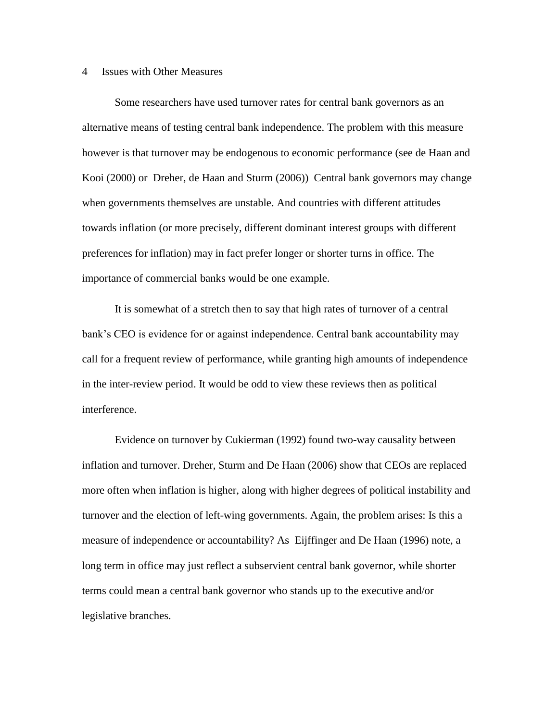#### 4 Issues with Other Measures

Some researchers have used turnover rates for central bank governors as an alternative means of testing central bank independence. The problem with this measure however is that turnover may be endogenous to economic performance (see de Haan and Kooi (2000) or Dreher, de Haan and Sturm (2006)) Central bank governors may change when governments themselves are unstable. And countries with different attitudes towards inflation (or more precisely, different dominant interest groups with different preferences for inflation) may in fact prefer longer or shorter turns in office. The importance of commercial banks would be one example.

It is somewhat of a stretch then to say that high rates of turnover of a central bank's CEO is evidence for or against independence. Central bank accountability may call for a frequent review of performance, while granting high amounts of independence in the inter-review period. It would be odd to view these reviews then as political interference.

Evidence on turnover by Cukierman (1992) found two-way causality between inflation and turnover. Dreher, Sturm and De Haan (2006) show that CEOs are replaced more often when inflation is higher, along with higher degrees of political instability and turnover and the election of left-wing governments. Again, the problem arises: Is this a measure of independence or accountability? As Eijffinger and De Haan (1996) note, a long term in office may just reflect a subservient central bank governor, while shorter terms could mean a central bank governor who stands up to the executive and/or legislative branches.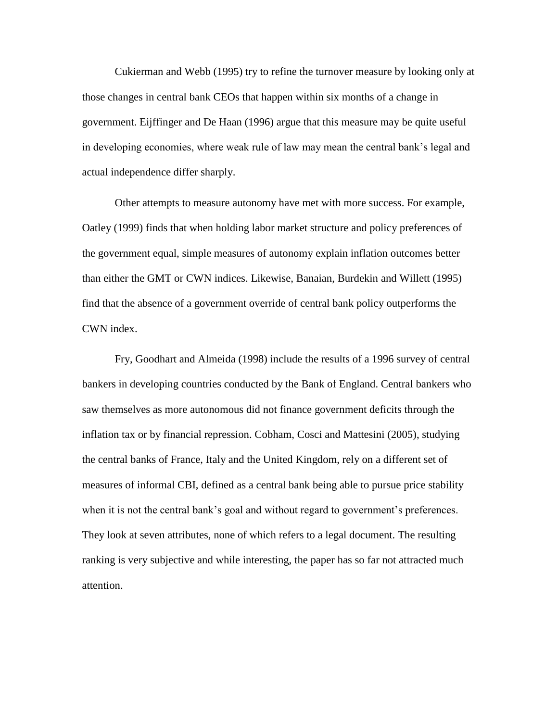Cukierman and Webb (1995) try to refine the turnover measure by looking only at those changes in central bank CEOs that happen within six months of a change in government. Eijffinger and De Haan (1996) argue that this measure may be quite useful in developing economies, where weak rule of law may mean the central bank's legal and actual independence differ sharply.

Other attempts to measure autonomy have met with more success. For example, Oatley (1999) finds that when holding labor market structure and policy preferences of the government equal, simple measures of autonomy explain inflation outcomes better than either the GMT or CWN indices. Likewise, Banaian, Burdekin and Willett (1995) find that the absence of a government override of central bank policy outperforms the CWN index.

Fry, Goodhart and Almeida (1998) include the results of a 1996 survey of central bankers in developing countries conducted by the Bank of England. Central bankers who saw themselves as more autonomous did not finance government deficits through the inflation tax or by financial repression. Cobham, Cosci and Mattesini (2005), studying the central banks of France, Italy and the United Kingdom, rely on a different set of measures of informal CBI, defined as a central bank being able to pursue price stability when it is not the central bank's goal and without regard to government's preferences. They look at seven attributes, none of which refers to a legal document. The resulting ranking is very subjective and while interesting, the paper has so far not attracted much attention.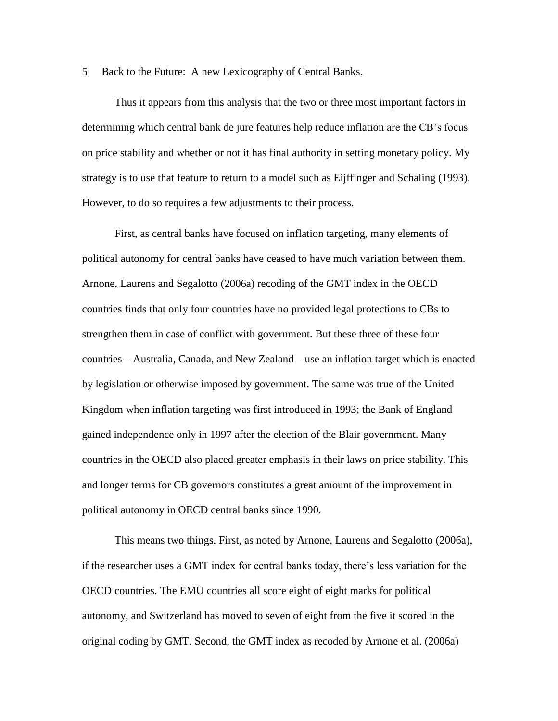5 Back to the Future: A new Lexicography of Central Banks.

Thus it appears from this analysis that the two or three most important factors in determining which central bank de jure features help reduce inflation are the CB's focus on price stability and whether or not it has final authority in setting monetary policy. My strategy is to use that feature to return to a model such as Eijffinger and Schaling (1993). However, to do so requires a few adjustments to their process.

First, as central banks have focused on inflation targeting, many elements of political autonomy for central banks have ceased to have much variation between them. Arnone, Laurens and Segalotto (2006a) recoding of the GMT index in the OECD countries finds that only four countries have no provided legal protections to CBs to strengthen them in case of conflict with government. But these three of these four countries – Australia, Canada, and New Zealand – use an inflation target which is enacted by legislation or otherwise imposed by government. The same was true of the United Kingdom when inflation targeting was first introduced in 1993; the Bank of England gained independence only in 1997 after the election of the Blair government. Many countries in the OECD also placed greater emphasis in their laws on price stability. This and longer terms for CB governors constitutes a great amount of the improvement in political autonomy in OECD central banks since 1990.

This means two things. First, as noted by Arnone, Laurens and Segalotto (2006a), if the researcher uses a GMT index for central banks today, there's less variation for the OECD countries. The EMU countries all score eight of eight marks for political autonomy, and Switzerland has moved to seven of eight from the five it scored in the original coding by GMT. Second, the GMT index as recoded by Arnone et al. (2006a)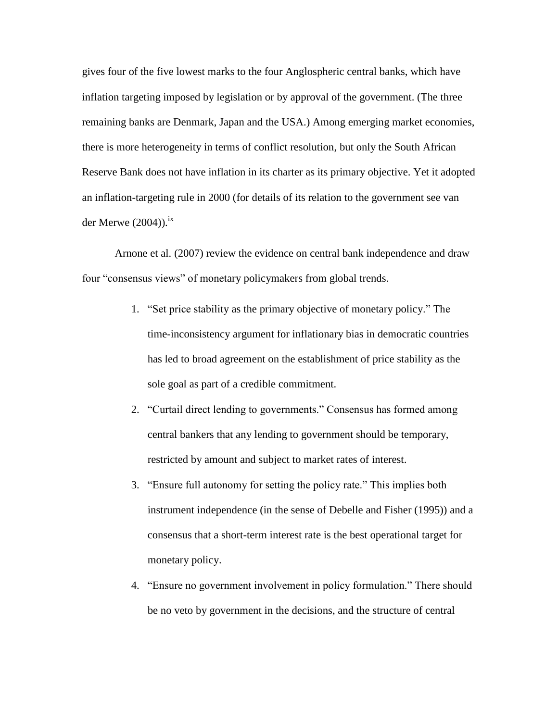gives four of the five lowest marks to the four Anglospheric central banks, which have inflation targeting imposed by legislation or by approval of the government. (The three remaining banks are Denmark, Japan and the USA.) Among emerging market economies, there is more heterogeneity in terms of conflict resolution, but only the South African Reserve Bank does not have inflation in its charter as its primary objective. Yet it adopted an inflation-targeting rule in 2000 (for details of its relation to the government see van der Merwe  $(2004)$ ).<sup>ix</sup>

Arnone et al. (2007) review the evidence on central bank independence and draw four "consensus views" of monetary policymakers from global trends.

- 1. "Set price stability as the primary objective of monetary policy." The time-inconsistency argument for inflationary bias in democratic countries has led to broad agreement on the establishment of price stability as the sole goal as part of a credible commitment.
- 2. "Curtail direct lending to governments." Consensus has formed among central bankers that any lending to government should be temporary, restricted by amount and subject to market rates of interest.
- 3. "Ensure full autonomy for setting the policy rate." This implies both instrument independence (in the sense of Debelle and Fisher (1995)) and a consensus that a short-term interest rate is the best operational target for monetary policy.
- 4. "Ensure no government involvement in policy formulation." There should be no veto by government in the decisions, and the structure of central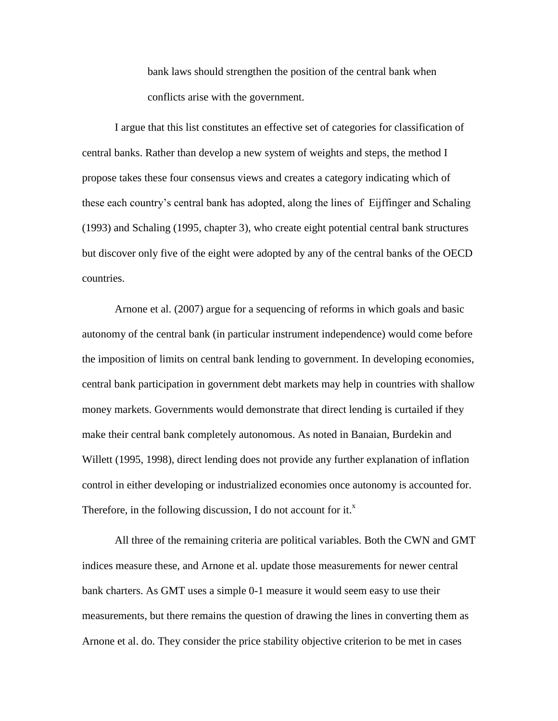bank laws should strengthen the position of the central bank when conflicts arise with the government.

I argue that this list constitutes an effective set of categories for classification of central banks. Rather than develop a new system of weights and steps, the method I propose takes these four consensus views and creates a category indicating which of these each country's central bank has adopted, along the lines of Eijffinger and Schaling (1993) and Schaling (1995, chapter 3), who create eight potential central bank structures but discover only five of the eight were adopted by any of the central banks of the OECD countries.

Arnone et al. (2007) argue for a sequencing of reforms in which goals and basic autonomy of the central bank (in particular instrument independence) would come before the imposition of limits on central bank lending to government. In developing economies, central bank participation in government debt markets may help in countries with shallow money markets. Governments would demonstrate that direct lending is curtailed if they make their central bank completely autonomous. As noted in Banaian, Burdekin and Willett (1995, 1998), direct lending does not provide any further explanation of inflation control in either developing or industrialized economies once autonomy is accounted for. Therefore, in the following discussion, I do not account for it. $^x$ 

All three of the remaining criteria are political variables. Both the CWN and GMT indices measure these, and Arnone et al. update those measurements for newer central bank charters. As GMT uses a simple 0-1 measure it would seem easy to use their measurements, but there remains the question of drawing the lines in converting them as Arnone et al. do. They consider the price stability objective criterion to be met in cases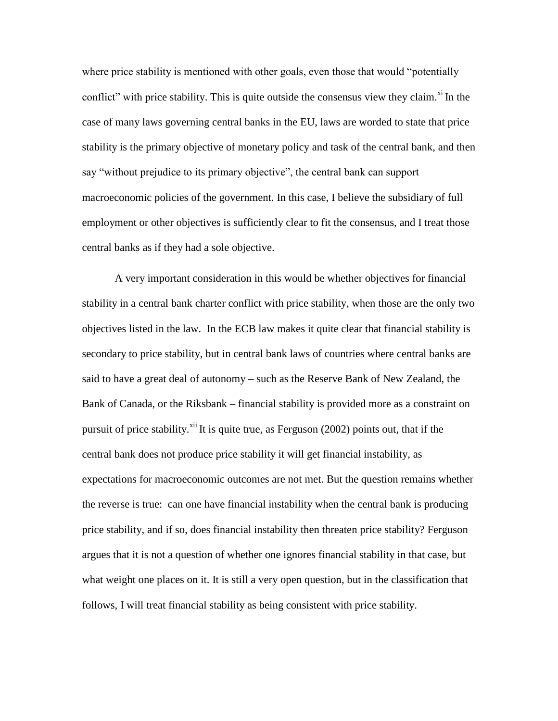where price stability is mentioned with other goals, even those that would "potentially" conflict" with price stability. This is quite outside the consensus view they claim. $x_i$  In the case of many laws governing central banks in the EU, laws are worded to state that price stability is the primary objective of monetary policy and task of the central bank, and then say "without prejudice to its primary objective", the central bank can support macroeconomic policies of the government. In this case, I believe the subsidiary of full employment or other objectives is sufficiently clear to fit the consensus, and I treat those central banks as if they had a sole objective.

A very important consideration in this would be whether objectives for financial stability in a central bank charter conflict with price stability, when those are the only two objectives listed in the law. In the ECB law makes it quite clear that financial stability is secondary to price stability, but in central bank laws of countries where central banks are said to have a great deal of autonomy – such as the Reserve Bank of New Zealand, the Bank of Canada, or the Riksbank – financial stability is provided more as a constraint on pursuit of price stability.<sup> $xi$ ii</sup> It is quite true, as Ferguson (2002) points out, that if the central bank does not produce price stability it will get financial instability, as expectations for macroeconomic outcomes are not met. But the question remains whether the reverse is true: can one have financial instability when the central bank is producing price stability, and if so, does financial instability then threaten price stability? Ferguson argues that it is not a question of whether one ignores financial stability in that case, but what weight one places on it. It is still a very open question, but in the classification that follows, I will treat financial stability as being consistent with price stability.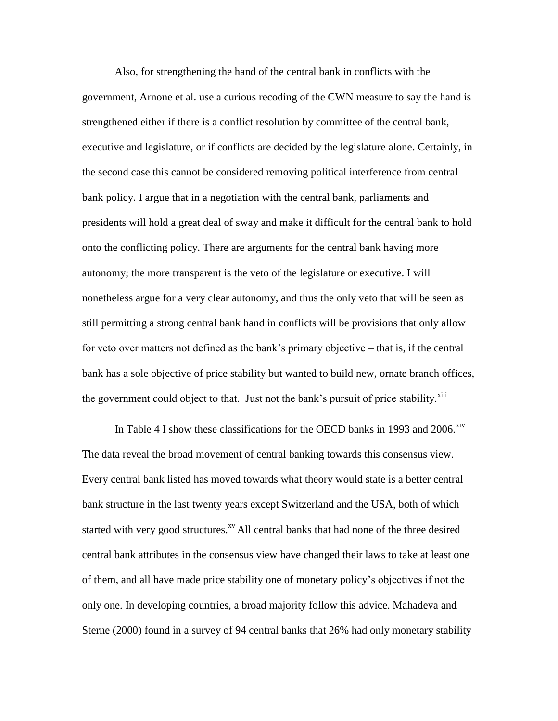Also, for strengthening the hand of the central bank in conflicts with the government, Arnone et al. use a curious recoding of the CWN measure to say the hand is strengthened either if there is a conflict resolution by committee of the central bank, executive and legislature, or if conflicts are decided by the legislature alone. Certainly, in the second case this cannot be considered removing political interference from central bank policy. I argue that in a negotiation with the central bank, parliaments and presidents will hold a great deal of sway and make it difficult for the central bank to hold onto the conflicting policy. There are arguments for the central bank having more autonomy; the more transparent is the veto of the legislature or executive. I will nonetheless argue for a very clear autonomy, and thus the only veto that will be seen as still permitting a strong central bank hand in conflicts will be provisions that only allow for veto over matters not defined as the bank's primary objective – that is, if the central bank has a sole objective of price stability but wanted to build new, ornate branch offices, the government could object to that. Just not the bank's pursuit of price stability.<sup>xiii</sup>

In Table 4 I show these classifications for the OECD banks in 1993 and 2006.<sup>xiv</sup> The data reveal the broad movement of central banking towards this consensus view. Every central bank listed has moved towards what theory would state is a better central bank structure in the last twenty years except Switzerland and the USA, both of which started with very good structures.<sup>xv</sup> All central banks that had none of the three desired central bank attributes in the consensus view have changed their laws to take at least one of them, and all have made price stability one of monetary policy's objectives if not the only one. In developing countries, a broad majority follow this advice. Mahadeva and Sterne (2000) found in a survey of 94 central banks that 26% had only monetary stability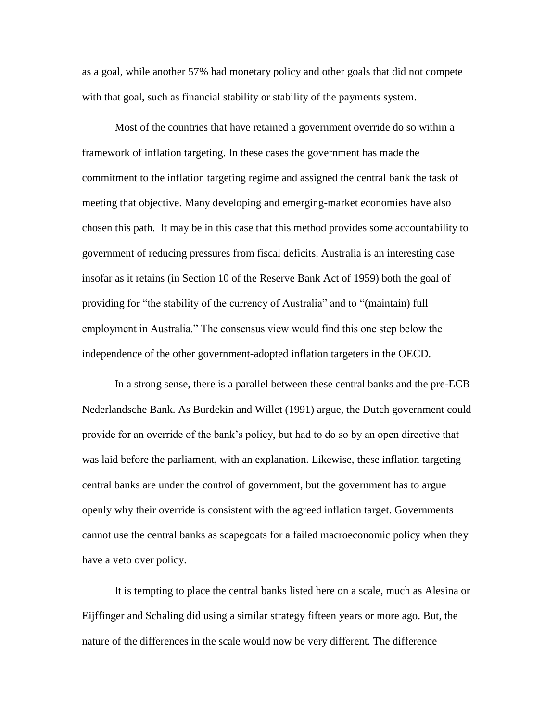as a goal, while another 57% had monetary policy and other goals that did not compete with that goal, such as financial stability or stability of the payments system.

Most of the countries that have retained a government override do so within a framework of inflation targeting. In these cases the government has made the commitment to the inflation targeting regime and assigned the central bank the task of meeting that objective. Many developing and emerging-market economies have also chosen this path. It may be in this case that this method provides some accountability to government of reducing pressures from fiscal deficits. Australia is an interesting case insofar as it retains (in Section 10 of the Reserve Bank Act of 1959) both the goal of providing for "the stability of the currency of Australia" and to "(maintain) full employment in Australia." The consensus view would find this one step below the independence of the other government-adopted inflation targeters in the OECD.

In a strong sense, there is a parallel between these central banks and the pre-ECB Nederlandsche Bank. As Burdekin and Willet (1991) argue, the Dutch government could provide for an override of the bank's policy, but had to do so by an open directive that was laid before the parliament, with an explanation. Likewise, these inflation targeting central banks are under the control of government, but the government has to argue openly why their override is consistent with the agreed inflation target. Governments cannot use the central banks as scapegoats for a failed macroeconomic policy when they have a veto over policy.

It is tempting to place the central banks listed here on a scale, much as Alesina or Eijffinger and Schaling did using a similar strategy fifteen years or more ago. But, the nature of the differences in the scale would now be very different. The difference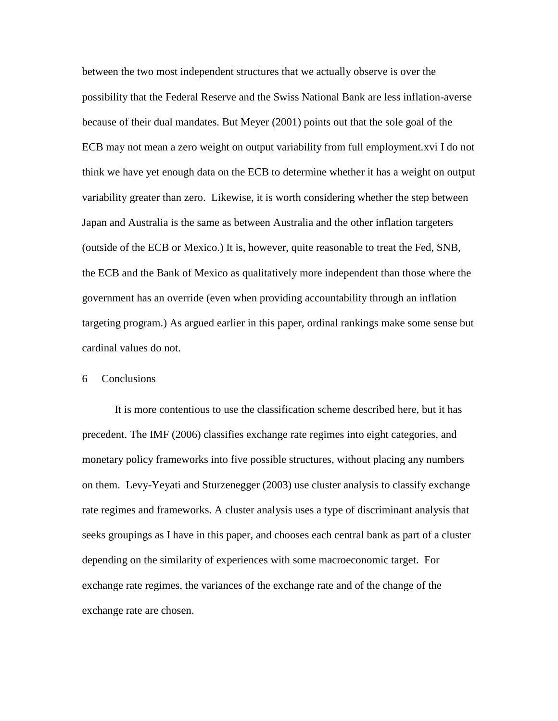between the two most independent structures that we actually observe is over the possibility that the Federal Reserve and the Swiss National Bank are less inflation-averse because of their dual mandates. But Meyer (2001) points out that the sole goal of the ECB may not mean a zero weight on output variability from full employment.xvi I do not think we have yet enough data on the ECB to determine whether it has a weight on output variability greater than zero. Likewise, it is worth considering whether the step between Japan and Australia is the same as between Australia and the other inflation targeters (outside of the ECB or Mexico.) It is, however, quite reasonable to treat the Fed, SNB, the ECB and the Bank of Mexico as qualitatively more independent than those where the government has an override (even when providing accountability through an inflation targeting program.) As argued earlier in this paper, ordinal rankings make some sense but cardinal values do not.

#### 6 Conclusions

It is more contentious to use the classification scheme described here, but it has precedent. The IMF (2006) classifies exchange rate regimes into eight categories, and monetary policy frameworks into five possible structures, without placing any numbers on them. Levy-Yeyati and Sturzenegger (2003) use cluster analysis to classify exchange rate regimes and frameworks. A cluster analysis uses a type of discriminant analysis that seeks groupings as I have in this paper, and chooses each central bank as part of a cluster depending on the similarity of experiences with some macroeconomic target. For exchange rate regimes, the variances of the exchange rate and of the change of the exchange rate are chosen.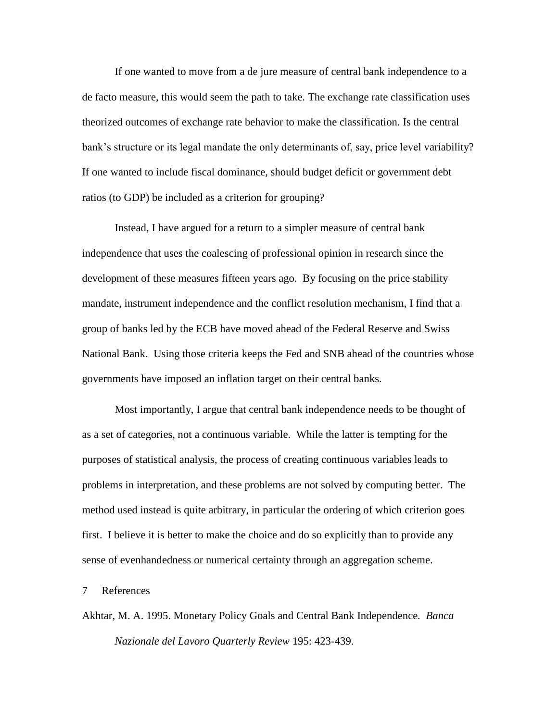If one wanted to move from a de jure measure of central bank independence to a de facto measure, this would seem the path to take. The exchange rate classification uses theorized outcomes of exchange rate behavior to make the classification. Is the central bank's structure or its legal mandate the only determinants of, say, price level variability? If one wanted to include fiscal dominance, should budget deficit or government debt ratios (to GDP) be included as a criterion for grouping?

Instead, I have argued for a return to a simpler measure of central bank independence that uses the coalescing of professional opinion in research since the development of these measures fifteen years ago. By focusing on the price stability mandate, instrument independence and the conflict resolution mechanism, I find that a group of banks led by the ECB have moved ahead of the Federal Reserve and Swiss National Bank. Using those criteria keeps the Fed and SNB ahead of the countries whose governments have imposed an inflation target on their central banks.

Most importantly, I argue that central bank independence needs to be thought of as a set of categories, not a continuous variable. While the latter is tempting for the purposes of statistical analysis, the process of creating continuous variables leads to problems in interpretation, and these problems are not solved by computing better. The method used instead is quite arbitrary, in particular the ordering of which criterion goes first. I believe it is better to make the choice and do so explicitly than to provide any sense of evenhandedness or numerical certainty through an aggregation scheme.

7 References

Akhtar, M. A. 1995. Monetary Policy Goals and Central Bank Independence*. Banca Nazionale del Lavoro Quarterly Review* 195: 423-439.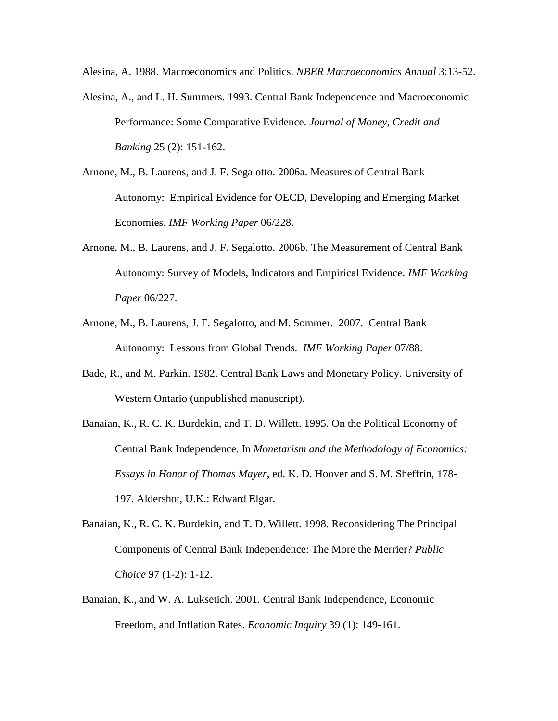Alesina, A. 1988. Macroeconomics and Politics. *NBER Macroeconomics Annual* 3:13-52.

- Alesina, A., and L. H. Summers. 1993. Central Bank Independence and Macroeconomic Performance: Some Comparative Evidence. *Journal of Money, Credit and Banking* 25 (2): 151-162.
- Arnone, M., B. Laurens, and J. F. Segalotto. 2006a. Measures of Central Bank Autonomy: Empirical Evidence for OECD, Developing and Emerging Market Economies. *IMF Working Paper* 06/228.
- Arnone, M., B. Laurens, and J. F. Segalotto. 2006b. The Measurement of Central Bank Autonomy: Survey of Models, Indicators and Empirical Evidence. *IMF Working Paper* 06/227.
- Arnone, M., B. Laurens, J. F. Segalotto, and M. Sommer. 2007. Central Bank Autonomy: Lessons from Global Trends. *IMF Working Paper* 07/88.
- Bade, R., and M. Parkin. 1982. Central Bank Laws and Monetary Policy. University of Western Ontario (unpublished manuscript).
- Banaian, K., R. C. K. Burdekin, and T. D. Willett. 1995. On the Political Economy of Central Bank Independence. In *Monetarism and the Methodology of Economics: Essays in Honor of Thomas Mayer*, ed. K. D. Hoover and S. M. Sheffrin, 178- 197. Aldershot, U.K.: Edward Elgar.
- Banaian, K., R. C. K. Burdekin, and T. D. Willett. 1998. Reconsidering The Principal Components of Central Bank Independence: The More the Merrier? *Public Choice* 97 (1-2): 1-12.
- Banaian, K., and W. A. Luksetich. 2001. Central Bank Independence, Economic Freedom, and Inflation Rates. *Economic Inquiry* 39 (1): 149-161.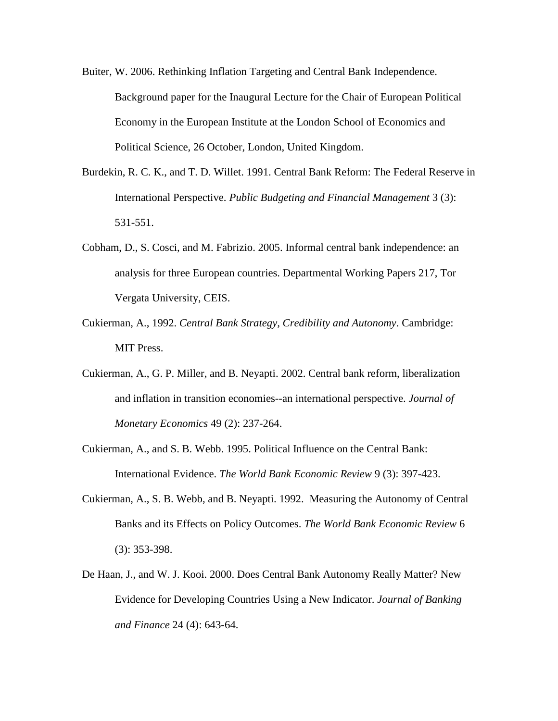- Buiter, W. 2006. Rethinking Inflation Targeting and Central Bank Independence. Background paper for the Inaugural Lecture for the Chair of European Political Economy in the European Institute at the London School of Economics and Political Science, 26 October, London, United Kingdom.
- Burdekin, R. C. K., and T. D. Willet. 1991. Central Bank Reform: The Federal Reserve in International Perspective. *Public Budgeting and Financial Management* 3 (3): 531-551.
- Cobham, D., S. Cosci, and M. Fabrizio. 2005. Informal central bank independence: an analysis for three European countries. Departmental Working Papers 217, Tor Vergata University, CEIS.
- Cukierman, A., 1992. *Central Bank Strategy, Credibility and Autonomy*. Cambridge: MIT Press.
- Cukierman, A., G. P. Miller, and B. Neyapti. 2002. Central bank reform, liberalization and inflation in transition economies--an international perspective. *Journal of Monetary Economics* 49 (2): 237-264.
- Cukierman, A., and S. B. Webb. 1995. Political Influence on the Central Bank: International Evidence. *The World Bank Economic Review* 9 (3): 397-423.
- Cukierman, A., S. B. Webb, and B. Neyapti. 1992. Measuring the Autonomy of Central Banks and its Effects on Policy Outcomes. *The World Bank Economic Review* 6 (3): 353-398.
- De Haan, J., and W. J. Kooi. 2000. Does Central Bank Autonomy Really Matter? New Evidence for Developing Countries Using a New Indicator. *Journal of Banking and Finance* 24 (4): 643-64.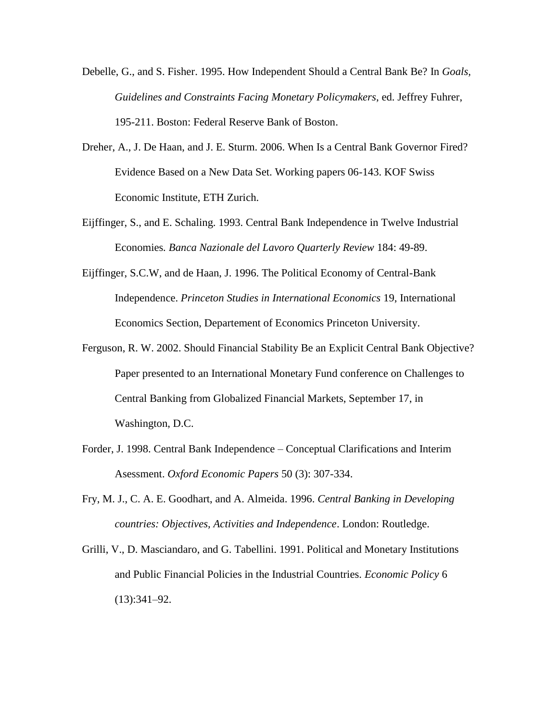- Debelle, G., and S. Fisher. 1995. How Independent Should a Central Bank Be? In *Goals, Guidelines and Constraints Facing Monetary Policymakers*, ed. Jeffrey Fuhrer, 195-211. Boston: Federal Reserve Bank of Boston.
- Dreher, A., J. De Haan, and J. E. Sturm. 2006. When Is a Central Bank Governor Fired? Evidence Based on a New Data Set. Working papers 06-143. KOF Swiss Economic Institute, ETH Zurich.
- Eijffinger, S., and E. Schaling. 1993. Central Bank Independence in Twelve Industrial Economies*. Banca Nazionale del Lavoro Quarterly Review* 184: 49-89.
- Eijffinger, S.C.W, and de Haan, J. 1996. The Political Economy of Central-Bank Independence. *Princeton Studies in International Economics* 19, International Economics Section, Departement of Economics Princeton University.
- Ferguson, R. W. 2002. Should Financial Stability Be an Explicit Central Bank Objective? Paper presented to an International Monetary Fund conference on Challenges to Central Banking from Globalized Financial Markets, September 17, in Washington, D.C.
- Forder, J. 1998. Central Bank Independence Conceptual Clarifications and Interim Asessment. *Oxford Economic Papers* 50 (3): 307-334.
- Fry, M. J., C. A. E. Goodhart, and A. Almeida. 1996. *Central Banking in Developing countries: Objectives, Activities and Independence*. London: Routledge.
- Grilli, V., D. Masciandaro, and G. Tabellini. 1991. Political and Monetary Institutions and Public Financial Policies in the Industrial Countries. *Economic Policy* 6 (13):341–92.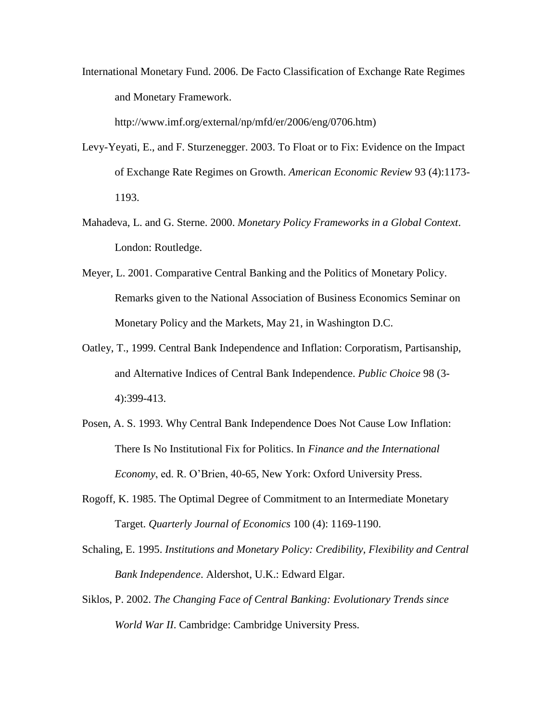International Monetary Fund. 2006. De Facto Classification of Exchange Rate Regimes and Monetary Framework.

http://www.imf.org/external/np/mfd/er/2006/eng/0706.htm)

- Levy-Yeyati, E., and F. Sturzenegger. 2003. To Float or to Fix: Evidence on the Impact of Exchange Rate Regimes on Growth. *American Economic Review* 93 (4):1173- 1193.
- Mahadeva, L. and G. Sterne. 2000. *Monetary Policy Frameworks in a Global Context*. London: Routledge.
- Meyer, L. 2001. Comparative Central Banking and the Politics of Monetary Policy. Remarks given to the National Association of Business Economics Seminar on Monetary Policy and the Markets, May 21, in Washington D.C.
- Oatley, T., 1999. Central Bank Independence and Inflation: Corporatism, Partisanship, and Alternative Indices of Central Bank Independence. *Public Choice* 98 (3- 4):399-413.
- Posen, A. S. 1993. Why Central Bank Independence Does Not Cause Low Inflation: There Is No Institutional Fix for Politics. In *Finance and the International Economy*, ed. R. O'Brien, 40-65, New York: Oxford University Press.
- Rogoff, K. 1985. The Optimal Degree of Commitment to an Intermediate Monetary Target. *Quarterly Journal of Economics* 100 (4): 1169-1190.
- Schaling, E. 1995. *Institutions and Monetary Policy: Credibility, Flexibility and Central Bank Independence*. Aldershot, U.K.: Edward Elgar.
- Siklos, P. 2002. *The Changing Face of Central Banking: Evolutionary Trends since World War II*. Cambridge: Cambridge University Press.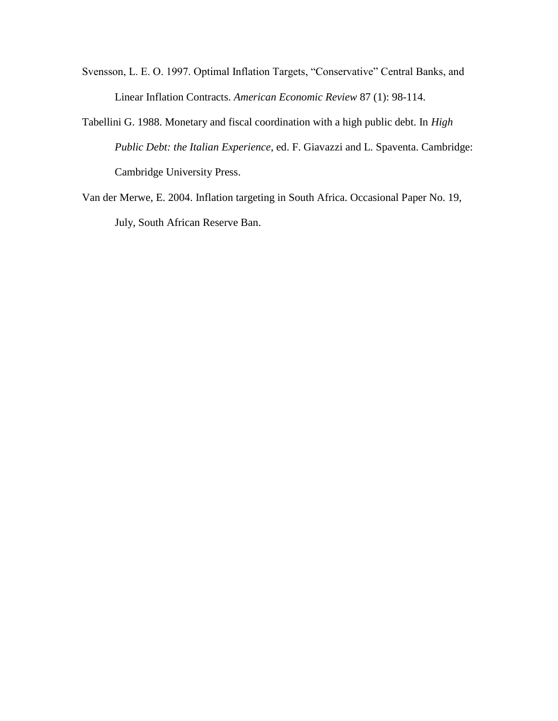- Svensson, L. E. O. 1997. Optimal Inflation Targets, "Conservative" Central Banks, and Linear Inflation Contracts. *American Economic Review* 87 (1): 98-114.
- Tabellini G. 1988. Monetary and fiscal coordination with a high public debt. In *High Public Debt: the Italian Experience*, ed. F. Giavazzi and L. Spaventa. Cambridge: Cambridge University Press.
- Van der Merwe, E. 2004. Inflation targeting in South Africa. Occasional Paper No. 19, July, South African Reserve Ban.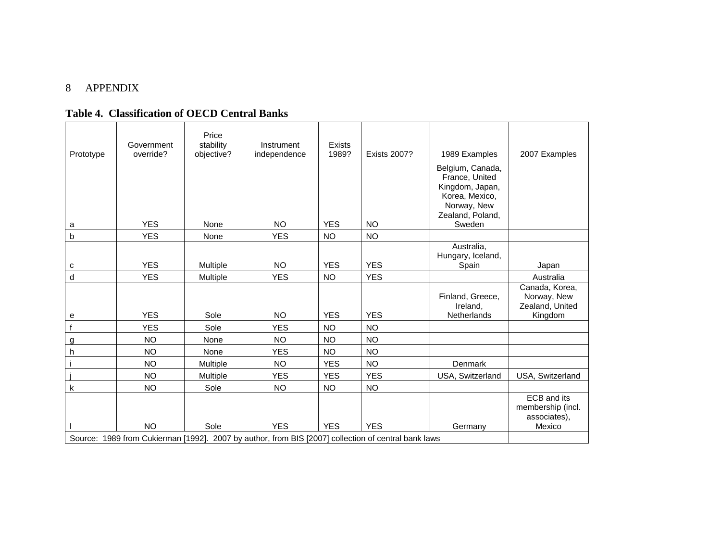### 8 APPENDIX

### **Table 4. Classification of OECD Central Banks**

| Prototype                                                                                           | Government<br>override?  | Price<br>stability<br>objective? | Instrument<br>independence | <b>Exists</b><br>1989?  | <b>Exists 2007?</b>     | 1989 Examples                                                                                              | 2007 Examples                                               |
|-----------------------------------------------------------------------------------------------------|--------------------------|----------------------------------|----------------------------|-------------------------|-------------------------|------------------------------------------------------------------------------------------------------------|-------------------------------------------------------------|
|                                                                                                     |                          |                                  |                            |                         |                         | Belgium, Canada,<br>France, United<br>Kingdom, Japan,<br>Korea, Mexico,<br>Norway, New<br>Zealand, Poland, |                                                             |
| a                                                                                                   | <b>YES</b>               | None                             | <b>NO</b>                  | <b>YES</b>              | <b>NO</b>               | Sweden                                                                                                     |                                                             |
| b                                                                                                   | <b>YES</b><br><b>YES</b> | None<br>Multiple                 | <b>YES</b><br><b>NO</b>    | <b>NO</b><br><b>YES</b> | <b>NO</b><br><b>YES</b> | Australia,<br>Hungary, Iceland,<br>Spain                                                                   |                                                             |
| с<br>d                                                                                              | <b>YES</b>               |                                  | <b>YES</b>                 | <b>NO</b>               | <b>YES</b>              |                                                                                                            | Japan<br>Australia                                          |
| е                                                                                                   | <b>YES</b>               | Multiple<br>Sole                 | <b>NO</b>                  | <b>YES</b>              | <b>YES</b>              | Finland, Greece,<br>Ireland,<br>Netherlands                                                                | Canada, Korea,<br>Norway, New<br>Zealand, United<br>Kingdom |
| $\mathsf{f}$                                                                                        | <b>YES</b>               | Sole                             | <b>YES</b>                 | <b>NO</b>               | <b>NO</b>               |                                                                                                            |                                                             |
| g                                                                                                   | <b>NO</b>                | None                             | <b>NO</b>                  | <b>NO</b>               | <b>NO</b>               |                                                                                                            |                                                             |
| h                                                                                                   | <b>NO</b>                | None                             | <b>YES</b>                 | <b>NO</b>               | <b>NO</b>               |                                                                                                            |                                                             |
|                                                                                                     | <b>NO</b>                | Multiple                         | <b>NO</b>                  | <b>YES</b>              | <b>NO</b>               | Denmark                                                                                                    |                                                             |
|                                                                                                     | <b>NO</b>                | Multiple                         | <b>YES</b>                 | <b>YES</b>              | <b>YES</b>              | USA, Switzerland                                                                                           | USA, Switzerland                                            |
| k                                                                                                   | NO.                      | Sole                             | <b>NO</b>                  | <b>NO</b>               | <b>NO</b>               |                                                                                                            |                                                             |
|                                                                                                     |                          |                                  |                            |                         |                         |                                                                                                            | <b>ECB</b> and its<br>membership (incl.<br>associates),     |
|                                                                                                     | <b>NO</b>                | Sole                             | <b>YES</b>                 | <b>YES</b>              | <b>YES</b>              | Germany                                                                                                    | Mexico                                                      |
| Source: 1989 from Cukierman [1992]. 2007 by author, from BIS [2007] collection of central bank laws |                          |                                  |                            |                         |                         |                                                                                                            |                                                             |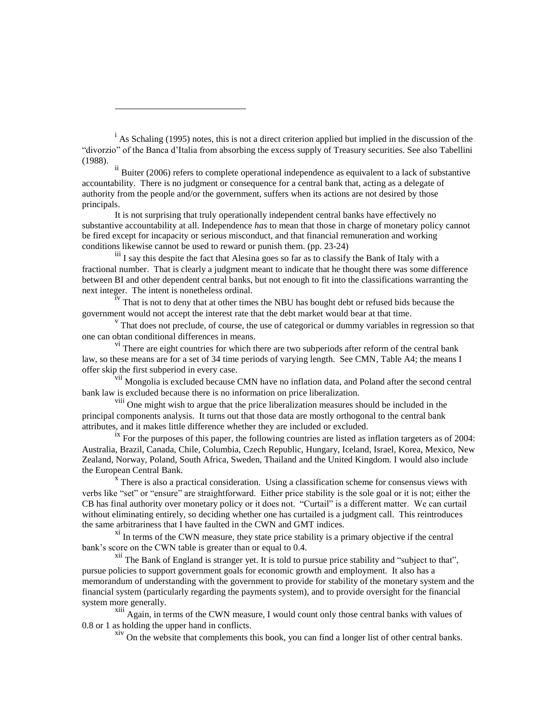<sup>i</sup> As Schaling (1995) notes, this is not a direct criterion applied but implied in the discussion of the "divorzio" of the Banca d'Italia from absorbing the excess supply of Treasury securities. See also Tabellini (1988).

 $\overline{a}$ 

<sup>ii</sup> Buiter (2006) refers to complete operational independence as equivalent to a lack of substantive accountability. There is no judgment or consequence for a central bank that, acting as a delegate of authority from the people and/or the government, suffers when its actions are not desired by those principals.

It is not surprising that truly operationally independent central banks have effectively no substantive accountability at all. Independence *has* to mean that those in charge of monetary policy cannot be fired except for incapacity or serious misconduct, and that financial remuneration and working conditions likewise cannot be used to reward or punish them. (pp. 23-24)

iii I say this despite the fact that Alesina goes so far as to classify the Bank of Italy with a fractional number. That is clearly a judgment meant to indicate that he thought there was some difference between BI and other dependent central banks, but not enough to fit into the classifications warranting the next integer. The intent is nonetheless ordinal.

 $\tilde{i}$ <sup>v</sup> That is not to deny that at other times the NBU has bought debt or refused bids because the government would not accept the interest rate that the debt market would bear at that time.

<sup>v</sup> That does not preclude, of course, the use of categorical or dummy variables in regression so that one can obtan conditional differences in means.

<sup>vi</sup> There are eight countries for which there are two subperiods after reform of the central bank law, so these means are for a set of 34 time periods of varying length. See CMN, Table A4; the means I offer skip the first subperiod in every case.

vii Mongolia is excluded because CMN have no inflation data, and Poland after the second central bank law is excluded because there is no information on price liberalization.

viii One might wish to argue that the price liberalization measures should be included in the principal components analysis. It turns out that those data are mostly orthogonal to the central bank attributes, and it makes little difference whether they are included or excluded.

 $\frac{1}{x}$  For the purposes of this paper, the following countries are listed as inflation targeters as of 2004: Australia, Brazil, Canada, Chile, Columbia, Czech Republic, Hungary, Iceland, Israel, Korea, Mexico, New Zealand, Norway, Poland, South Africa, Sweden, Thailand and the United Kingdom. I would also include the European Central Bank.

 $\bar{x}$  There is also a practical consideration. Using a classification scheme for consensus views with verbs like "set" or "ensure" are straightforward. Either price stability is the sole goal or it is not; either the CB has final authority over monetary policy or it does not. "Curtail" is a different matter. We can curtail without eliminating entirely, so deciding whether one has curtailed is a judgment call. This reintroduces the same arbitrariness that I have faulted in the CWN and GMT indices.

<sup>xi</sup> In terms of the CWN measure, they state price stability is a primary objective if the central bank's score on the CWN table is greater than or equal to 0.4.

 $\frac{x}{i}$  The Bank of England is stranger yet. It is told to pursue price stability and "subject to that", pursue policies to support government goals for economic growth and employment. It also has a memorandum of understanding with the government to provide for stability of the monetary system and the financial system (particularly regarding the payments system), and to provide oversight for the financial system more generally.

<sup>xiii</sup> Again, in terms of the CWN measure, I would count only those central banks with values of 0.8 or 1 as holding the upper hand in conflicts.

 $\frac{x^2}{x^3}$  On the website that complements this book, you can find a longer list of other central banks.